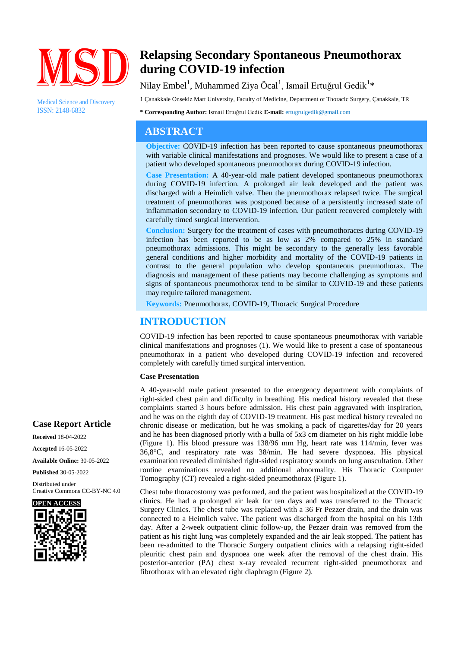

Medical Science and Discovery ISSN: 2148-6832

# **Relapsing Secondary Spontaneous Pneumothorax during COVID-19 infection**

### Nilay Embel<sup>1</sup>, Muhammed Ziya Öcal<sup>1</sup>, Ismail Ertuğrul Gedik<sup>1</sup>\*

1 Çanakkale Onsekiz Mart University, Faculty of Medicine, Department of Thoracic Surgery, Çanakkale, TR

**\* Corresponding Author:** Ismail Ertuğrul Gedik **E-mail:** ertugrulgedik@gmail.com

### **ABSTRACT**

**Objective:** COVID-19 infection has been reported to cause spontaneous pneumothorax with variable clinical manifestations and prognoses. We would like to present a case of a patient who developed spontaneous pneumothorax during COVID-19 infection.

**Case Presentation:** A 40-year-old male patient developed spontaneous pneumothorax during COVID-19 infection. A prolonged air leak developed and the patient was discharged with a Heimlich valve. Then the pneumothorax relapsed twice. The surgical treatment of pneumothorax was postponed because of a persistently increased state of inflammation secondary to COVID-19 infection. Our patient recovered completely with carefully timed surgical intervention.

**Conclusion:** Surgery for the treatment of cases with pneumothoraces during COVID-19 infection has been reported to be as low as 2% compared to 25% in standard pneumothorax admissions. This might be secondary to the generally less favorable general conditions and higher morbidity and mortality of the COVID-19 patients in contrast to the general population who develop spontaneous pneumothorax. The diagnosis and management of these patients may become challenging as symptoms and signs of spontaneous pneumothorax tend to be similar to COVID-19 and these patients may require tailored management.

**Keywords:** Pneumothorax, COVID-19, Thoracic Surgical Procedure

## **INTRODUCTION**

COVID-19 infection has been reported to cause spontaneous pneumothorax with variable clinical manifestations and prognoses (1). We would like to present a case of spontaneous pneumothorax in a patient who developed during COVID-19 infection and recovered completely with carefully timed surgical intervention.

#### **Case Presentation**

A 40-year-old male patient presented to the emergency department with complaints of right-sided chest pain and difficulty in breathing. His medical history revealed that these complaints started 3 hours before admission. His chest pain aggravated with inspiration, and he was on the eighth day of COVID-19 treatment. His past medical history revealed no chronic disease or medication, but he was smoking a pack of cigarettes/day for 20 years and he has been diagnosed priorly with a bulla of 5x3 cm diameter on his right middle lobe (Figure 1). His blood pressure was 138/96 mm Hg, heart rate was 114/min, fever was 36,8°C, and respiratory rate was 38/min. He had severe dyspnoea. His physical examination revealed diminished right-sided respiratory sounds on lung auscultation. Other routine examinations revealed no additional abnormality. His Thoracic Computer Tomography (CT) revealed a right-sided pneumothorax (Figure 1).

Chest tube thoracostomy was performed, and the patient was hospitalized at the COVID-19 clinics. He had a prolonged air leak for ten days and was transferred to the Thoracic Surgery Clinics. The chest tube was replaced with a 36 Fr Pezzer drain, and the drain was connected to a Heimlich valve. The patient was discharged from the hospital on his 13th day. After a 2-week outpatient clinic follow-up, the Pezzer drain was removed from the patient as his right lung was completely expanded and the air leak stopped. The patient has been re-admitted to the Thoracic Surgery outpatient clinics with a relapsing right-sided pleuritic chest pain and dyspnoea one week after the removal of the chest drain. His posterior-anterior (PA) chest x-ray revealed recurrent right-sided pneumothorax and fibrothorax with an elevated right diaphragm (Figure 2).

### **Case Report Article**

**Received** 18-04-2022 **Accepted** 16-05-2022 **Available Online:** 30-05-2022

**Published** 30-05-2022

Distributed under Creative Commons CC-BY-NC 4.0

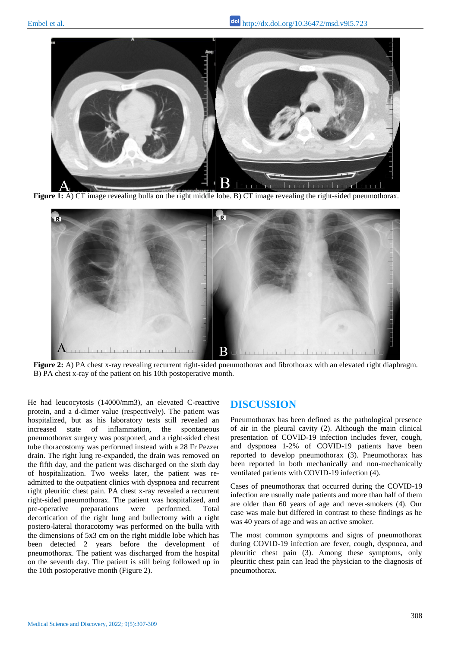

**Figure 1:** A) CT image revealing bulla on the right middle lobe. B) CT image revealing the right-sided pneumothorax.



**Figure 2:** A) PA chest x-ray revealing recurrent right-sided pneumothorax and fibrothorax with an elevated right diaphragm. B) PA chest x-ray of the patient on his 10th postoperative month.

He had leucocytosis (14000/mm3), an elevated C-reactive protein, and a d-dimer value (respectively). The patient was hospitalized, but as his laboratory tests still revealed an increased state of inflammation, the spontaneous pneumothorax surgery was postponed, and a right-sided chest tube thoracostomy was performed instead with a 28 Fr Pezzer drain. The right lung re-expanded, the drain was removed on the fifth day, and the patient was discharged on the sixth day of hospitalization. Two weeks later, the patient was readmitted to the outpatient clinics with dyspnoea and recurrent right pleuritic chest pain. PA chest x-ray revealed a recurrent right-sided pneumothorax. The patient was hospitalized, and pre-operative preparations were performed. Total decortication of the right lung and bullectomy with a right postero-lateral thoracotomy was performed on the bulla with the dimensions of 5x3 cm on the right middle lobe which has been detected 2 years before the development of pneumothorax. The patient was discharged from the hospital on the seventh day. The patient is still being followed up in the 10th postoperative month (Figure 2).

#### **DISCUSSION**

Pneumothorax has been defined as the pathological presence of air in the pleural cavity (2). Although the main clinical presentation of COVID-19 infection includes fever, cough, and dyspnoea 1-2% of COVID-19 patients have been reported to develop pneumothorax (3). Pneumothorax has been reported in both mechanically and non-mechanically ventilated patients with COVID-19 infection (4).

Cases of pneumothorax that occurred during the COVID-19 infection are usually male patients and more than half of them are older than 60 years of age and never-smokers (4). Our case was male but differed in contrast to these findings as he was 40 years of age and was an active smoker.

The most common symptoms and signs of pneumothorax during COVID-19 infection are fever, cough, dyspnoea, and pleuritic chest pain (3). Among these symptoms, only pleuritic chest pain can lead the physician to the diagnosis of pneumothorax.